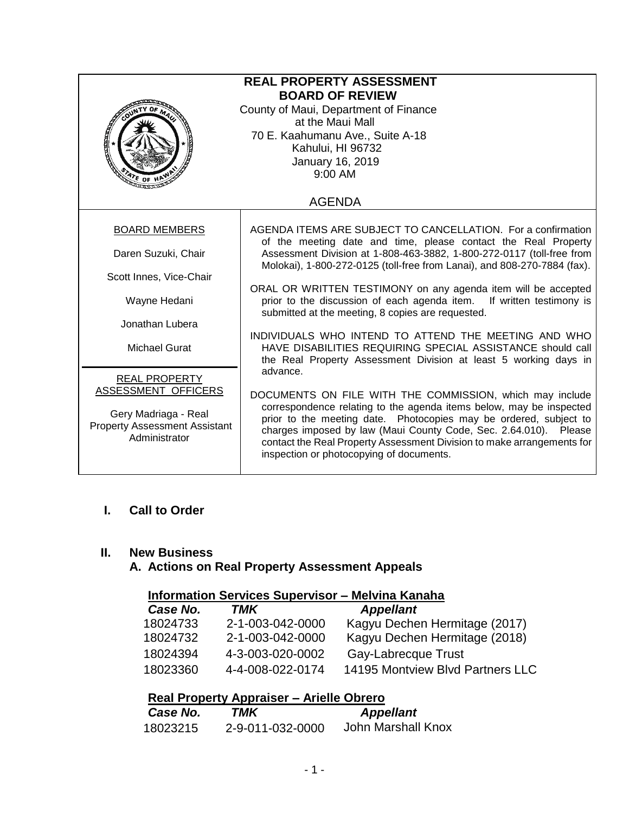| <b>REAL PROPERTY ASSESSMENT</b><br><b>BOARD OF REVIEW</b><br>County of Maui, Department of Finance<br>at the Maui Mall<br>70 E. Kaahumanu Ave., Suite A-18<br>Kahului, HI 96732<br>January 16, 2019<br>9:00 AM<br>ATE OF HI |                                                                                                                                                                                                                                                                                                                                                                                                |  |
|-----------------------------------------------------------------------------------------------------------------------------------------------------------------------------------------------------------------------------|------------------------------------------------------------------------------------------------------------------------------------------------------------------------------------------------------------------------------------------------------------------------------------------------------------------------------------------------------------------------------------------------|--|
|                                                                                                                                                                                                                             | <b>AGENDA</b>                                                                                                                                                                                                                                                                                                                                                                                  |  |
| <b>BOARD MEMBERS</b>                                                                                                                                                                                                        | AGENDA ITEMS ARE SUBJECT TO CANCELLATION. For a confirmation<br>of the meeting date and time, please contact the Real Property                                                                                                                                                                                                                                                                 |  |
| Daren Suzuki, Chair                                                                                                                                                                                                         | Assessment Division at 1-808-463-3882, 1-800-272-0117 (toll-free from<br>Molokai), 1-800-272-0125 (toll-free from Lanai), and 808-270-7884 (fax).                                                                                                                                                                                                                                              |  |
| Scott Innes, Vice-Chair                                                                                                                                                                                                     |                                                                                                                                                                                                                                                                                                                                                                                                |  |
| Wayne Hedani                                                                                                                                                                                                                | ORAL OR WRITTEN TESTIMONY on any agenda item will be accepted<br>prior to the discussion of each agenda item. If written testimony is<br>submitted at the meeting, 8 copies are requested.                                                                                                                                                                                                     |  |
| Jonathan Lubera                                                                                                                                                                                                             |                                                                                                                                                                                                                                                                                                                                                                                                |  |
| Michael Gurat                                                                                                                                                                                                               | INDIVIDUALS WHO INTEND TO ATTEND THE MEETING AND WHO<br>HAVE DISABILITIES REQUIRING SPECIAL ASSISTANCE should call<br>the Real Property Assessment Division at least 5 working days in<br>advance.                                                                                                                                                                                             |  |
| <b>REAL PROPERTY</b>                                                                                                                                                                                                        |                                                                                                                                                                                                                                                                                                                                                                                                |  |
| ASSESSMENT OFFICERS<br>Gery Madriaga - Real<br><b>Property Assessment Assistant</b><br>Administrator                                                                                                                        | DOCUMENTS ON FILE WITH THE COMMISSION, which may include<br>correspondence relating to the agenda items below, may be inspected<br>prior to the meeting date. Photocopies may be ordered, subject to<br>charges imposed by law (Maui County Code, Sec. 2.64.010). Please<br>contact the Real Property Assessment Division to make arrangements for<br>inspection or photocopying of documents. |  |

# **I. Call to Order**

#### **II. New Business**

## **A. Actions on Real Property Assessment Appeals**

# **Information Services Supervisor – Melvina Kanaha**

| Case No. | TMK              | <b>Appellant</b>                 |
|----------|------------------|----------------------------------|
| 18024733 | 2-1-003-042-0000 | Kagyu Dechen Hermitage (2017)    |
| 18024732 | 2-1-003-042-0000 | Kagyu Dechen Hermitage (2018)    |
| 18024394 | 4-3-003-020-0002 | Gay-Labrecque Trust              |
| 18023360 | 4-4-008-022-0174 | 14195 Montview Blvd Partners LLC |

## **Real Property Appraiser – Arielle Obrero**

| Case No. | TMK              | <b>Appellant</b>   |
|----------|------------------|--------------------|
| 18023215 | 2-9-011-032-0000 | John Marshall Knox |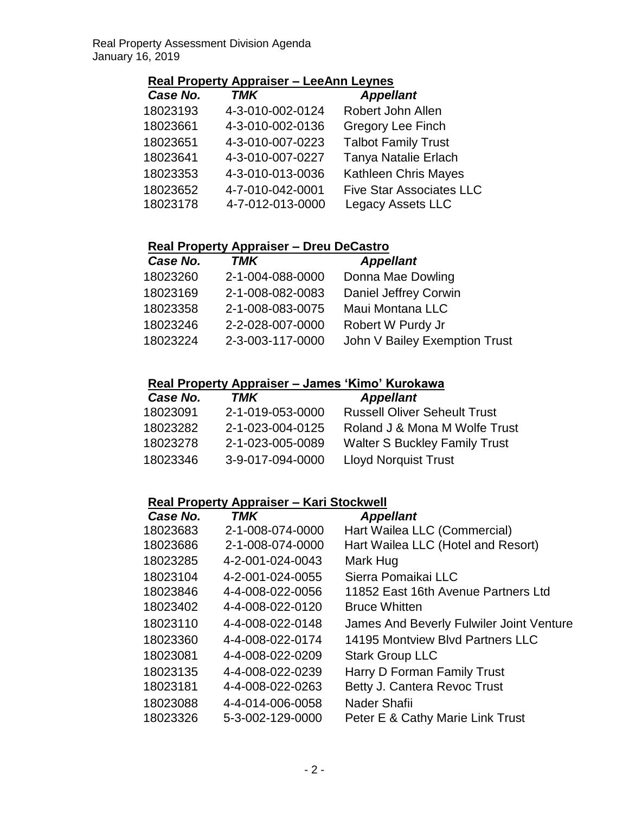## **Real Property Appraiser – LeeAnn Leynes**

| <b>TMK</b>                           | <b>Appellant</b>                                            |
|--------------------------------------|-------------------------------------------------------------|
| 4-3-010-002-0124                     | Robert John Allen                                           |
| 4-3-010-002-0136                     | <b>Gregory Lee Finch</b>                                    |
| 4-3-010-007-0223                     | <b>Talbot Family Trust</b>                                  |
| 4-3-010-007-0227                     | Tanya Natalie Erlach                                        |
| 4-3-010-013-0036                     | <b>Kathleen Chris Mayes</b>                                 |
| 4-7-010-042-0001<br>4-7-012-013-0000 | <b>Five Star Associates LLC</b><br><b>Legacy Assets LLC</b> |
|                                      |                                                             |

## **Real Property Appraiser – Dreu DeCastro**

| Case No. | TMK              | <b>Appellant</b>              |
|----------|------------------|-------------------------------|
| 18023260 | 2-1-004-088-0000 | Donna Mae Dowling             |
| 18023169 | 2-1-008-082-0083 | <b>Daniel Jeffrey Corwin</b>  |
| 18023358 | 2-1-008-083-0075 | Maui Montana LLC              |
| 18023246 | 2-2-028-007-0000 | Robert W Purdy Jr             |
| 18023224 | 2-3-003-117-0000 | John V Bailey Exemption Trust |

#### **Real Property Appraiser – James 'Kimo' Kurokawa**

| Case No. | TMK              | <b>Appellant</b>                     |
|----------|------------------|--------------------------------------|
| 18023091 | 2-1-019-053-0000 | <b>Russell Oliver Seheult Trust</b>  |
| 18023282 | 2-1-023-004-0125 | Roland J & Mona M Wolfe Trust        |
| 18023278 | 2-1-023-005-0089 | <b>Walter S Buckley Family Trust</b> |
| 18023346 | 3-9-017-094-0000 | <b>Lloyd Norquist Trust</b>          |

#### **Real Property Appraiser – Kari Stockwell**

| Case No. | <b>TMK</b>       | <b>Appellant</b>                         |
|----------|------------------|------------------------------------------|
| 18023683 | 2-1-008-074-0000 | Hart Wailea LLC (Commercial)             |
| 18023686 | 2-1-008-074-0000 | Hart Wailea LLC (Hotel and Resort)       |
| 18023285 | 4-2-001-024-0043 | Mark Hug                                 |
| 18023104 | 4-2-001-024-0055 | Sierra Pomaikai LLC                      |
| 18023846 | 4-4-008-022-0056 | 11852 East 16th Avenue Partners Ltd      |
| 18023402 | 4-4-008-022-0120 | <b>Bruce Whitten</b>                     |
| 18023110 | 4-4-008-022-0148 | James And Beverly Fulwiler Joint Venture |
| 18023360 | 4-4-008-022-0174 | 14195 Montview Blvd Partners LLC         |
| 18023081 | 4-4-008-022-0209 | <b>Stark Group LLC</b>                   |
| 18023135 | 4-4-008-022-0239 | Harry D Forman Family Trust              |
| 18023181 | 4-4-008-022-0263 | Betty J. Cantera Revoc Trust             |
| 18023088 | 4-4-014-006-0058 | Nader Shafii                             |
| 18023326 | 5-3-002-129-0000 | Peter E & Cathy Marie Link Trust         |
|          |                  |                                          |